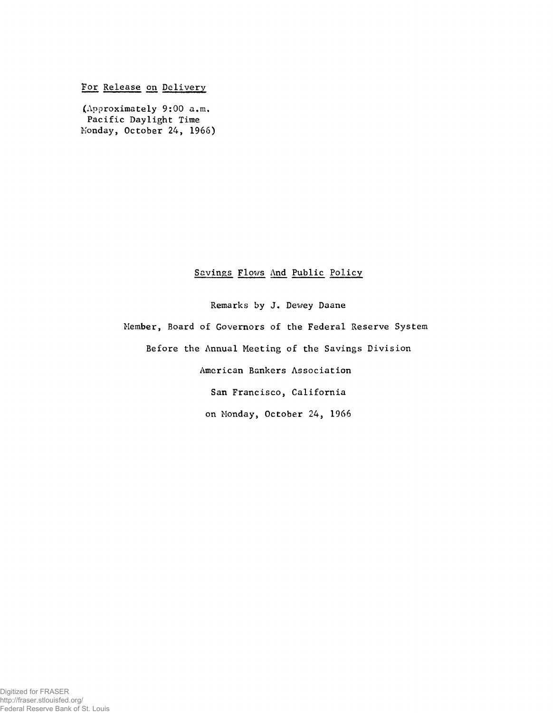For Release on Delivery

(Approximately 9:00 a.m. Pacific Daylight Time Monday, October 24, 1966)

## Savings Flows And Public Policy

Remarks by J. Dewey Daane

Member, Board of Governors of the Federal Reserve System

Before the Annual Meeting of the Savings Division

American Bankers Association

San Francisco, California

on Monday, October 24, 1966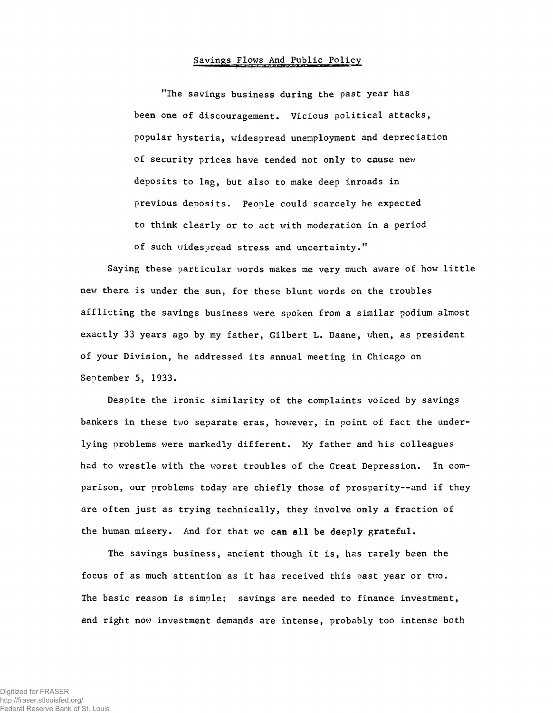## Savings Flows And Public Policy

"The savings business during the past year has been one of discouragement. Vicious political attacks, popular hysteria, widespread unemployment and depreciation of security prices have tended not only to cause new deposits to lag, but also to make deep inroads in previous deposits. People could scarcely be expected to think clearly or to act with moderation in a period of such widespread stress and uncertainty."

**Saying these particular words makes me very much aware of how little new there is under the sun, for these blunt words on the troubles afflicting the savings business xvere spoken from a similar podium almost exactly 33 years ago by my father, Gilbert L. Daane, when, as president of your Division, he addressed its annual meeting in Chicago on September 5, 1933.**

Despite the ironic similarity of the complaints voiced by savings bankers in these two separate eras, however, in point of fact the underlying problems were markedly different. My father and his colleagues had to wrestle with the worst troubles of the Great Depression. In comparison, our problems today are chiefly those of prosperity--and if they are often just as trying technically, they involve only a fraction of the human misery. And for that we can all be deeply grateful.

The savings business, ancient though it is, has rarely been the focus of as much attention as it has received this past year or two. The basic reason is simple: savings are needed to finance investment, and right now investment demands are intense, probably too intense both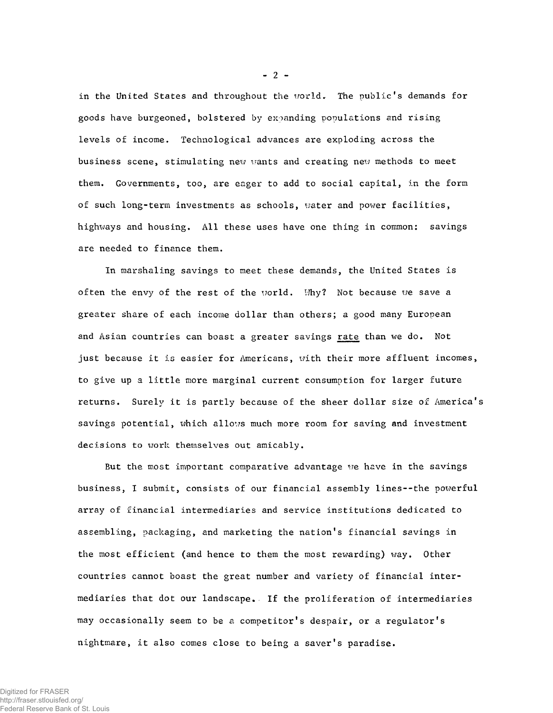in the United States and throughout the world. The public's demands for goods have burgeoned, bolstered by expanding populations and rising levels of income. Technological advances are exploding across the business scene, stimulating new wants and creating new methods to meet them. Governments, too, are eager to add to social capital, in the form of such long-term investments as schools, water and power facilities, highways and housing. *All* these uses have one thing in common: savings are needed to finance them.

In marshaling savings to meet these demands, the United States is often the envy of the rest of the world. Why? Not because we save a greater share of each income dollar than others; a good many European and Asian countries can boast a greater savings rate than we do. Not just because it is easier for Americans, with their more affluent incomes, to give up a little more marginal current consumption for larger future returns. Surely it is partly because of the sheer dollar size of America's savings potential, which allows much more room for saving and investment decisions to work themselves out amicably.

But the most important comparative advantage we have in the savings business, I submit, consists of our financial assembly lines--the powerful array of financial intermediaries and service institutions dedicated to assembling, packaging, and marketing the nation's financial savings in the most efficient (and hence to them the most rewarding) way. Other countries cannot boast the great number and variety of financial intermediaries that dot our landscape. If the proliferation of intermediaries may occasionally seem to be a competitor's despair, or a regulator's nightmare, it also comes close to being a saver's paradise.

**-** 2 **-**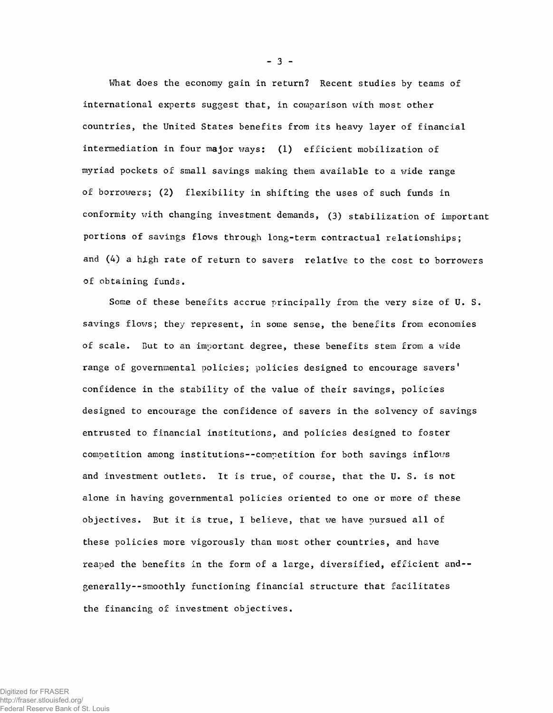What does the economy gain in return? Recent studies by teams of international experts suggest that, in comparison with most other countries, the United States benefits from its heavy layer of financial intermediation in four major ways: (1) efficient mobilization of myriad pockets of small savings making them available to a wide range of borrowers; (2) flexibility in shifting the uses of such funds in conformity with changing investment demands, (3) stabilization of important portions of savings flows through long-term contractual relationships; and (4) a high rate of return to savers relative to the cost to borrowers of obtaining funds.

Some of these benefits accrue principally from the very size of U. S. savings flows; they represent, in some sense, the benefits from economies of scale. But to an important degree, these benefits stem from a wide range of governmental policies; policies designed to encourage savers' confidence in the stability of the value of their savings, policies designed to encourage the confidence of savers in the solvency of savings entrusted to financial institutions, and policies designed to foster competition among institutions--competition for both savings inflows and investment outlets. It is true, of course, that the U. S. is not alone in having governmental policies oriented to one or more of these objectives. But it is true, I believe, that \\*e have pursued all of these policies more vigorously than most other countries, and have reaped the benefits in the form of a large, diversified, efficient and- generally--smoothly functioning financial structure that facilitates the financing of investment objectives.

**-** 3 **-**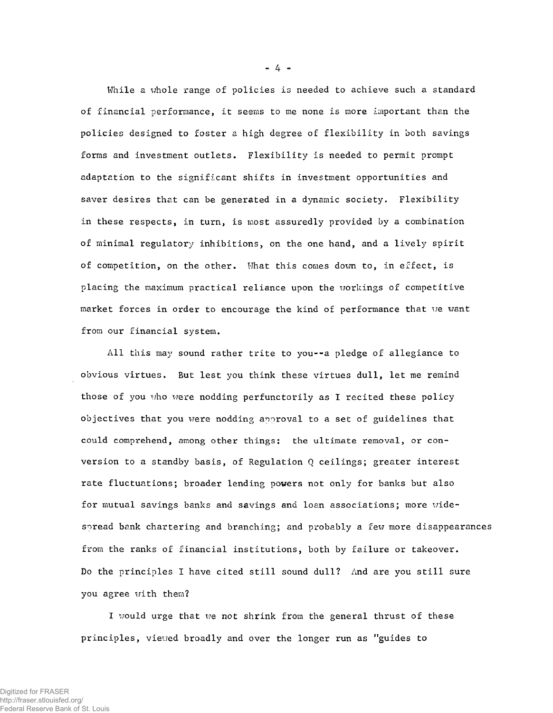While a whole range of policies is needed to achieve such a standard of financial performance, it seems to me none is more important than the policies designed to foster a high degree of flexibility in both savings forms and investment outlets. Flexibility is needed to permit prompt adaptation to the significant shifts in investment opportunities and saver desires that can be generated in a dynamic society. Flexibility in these respects, in turn, is most assuredly provided by a combination of minimal regulatory inhibitions, on the one hand, and a lively spirit of competition, on the other. What this comes down to, in effect, is placing the maximum practical reliance upon the workings of competitive market forces in order to encourage the kind of performance that we want from our financial system.

All this may sound rather trite to you--a pledge of allegiance to obvious virtues. But lest you think these virtues dull, let me remind those of you who were nodding perfunctorily as I recited these policy objectives that you were nodding approval to a set of guidelines that could comprehend, among other things: the ultimate removal, or conversion to a standby basis, of Regulation Q ceilings; greater interest rate fluctuations; broader lending powers not only for banks but also for mutual savings banks and savings and loan associations; more widespread bank chartering and branching; and probably a few more disappearances from the ranks of financial institutions, both by failure or takeover. Do the principles I have cited still sound dull? And are you still sure you agree with them?

I would urge that we not shrink from the general thrust of these principles, viewed broadly and over the longer run as "guides to

**-** 4 **-**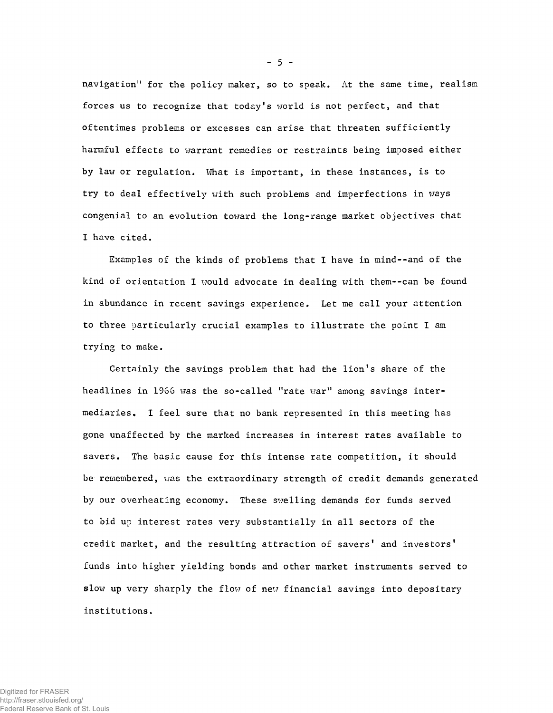navigation" for the policy maker, so to speak. At the same time, realism forces us to recognize that today's world is not perfect, and that oftentimes problems or excesses can arise that threaten sufficiently harmful effects to warrant remedies or restraints being imposed either by law or regulation. What is important, in these instances, is to try to deal effectively with such problems and imperfections in ways congenial to an evolution toward the long-range market objectives that I have cited.

Examples of the kinds of problems that I have in mind--and of the kind of orientation I would advocate in dealing with them--can be found in abundance in recent savings experience. Let me call your attention to three particularly crucial examples to illustrate the point I am trying to make.

Certainly the savings problem that had the lion's share of the headlines in 1966 was the so-called "rate war" among savings intermediaries, I feel sure that no bank represented in this meeting has gone unaffected by the marked increases in interest rates available to savers. The basic cause for this intense rate competition, it should be remembered, was the extraordinary strength of credit demands generated by our overheating economy. These swelling demands for funds served to bid up interest rates very substantially in all sectors of the credit market, and the resulting attraction of savers' and investors' funds into higher yielding bonds and other market instruments served to slow up very sharply the flow of new financial savings into depositary institutions.

Digitized for FRASER http://fraser.stlouisfed.org/

Federal Reserve Bank of St. Louis

**-** 5 **-**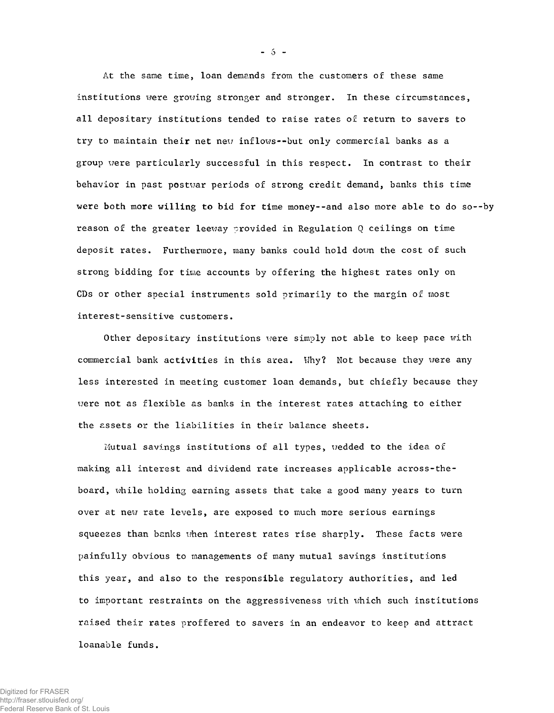At the same time, loan demands from the customers of these same institutions were growing stronger and stronger. In these circumstances, all depositary institutions tended to raise rates of return to savers to try to maintain their net new inflows— but only commercial banks as a group were particularly successful in this respect. In contrast to their behavior in past postwar periods of strong credit demand, banks this time were both more willing to bid for time money--and also more able to do so--by reason of the greater leeway provided in Regulation Q ceilings on time deposit rates. Furthermore, many banks could hold down the cost of such strong bidding for time accounts by offering the highest rates only on CDs or other special instruments sold primarily to the margin of most interest-sensitive customers.

Other depositary institutions were simply not able to keep pace with commercial bank activities in this area. Why? Not because they were any less interested in meeting customer loan demands, but chiefly because they were not as flexible as banks in the interest rates attaching to either the assets or the liabilities in their balance sheets.

Mutual savings institutions of all types, wedded to the idea of making all interest and dividend rate increases applicable across-theboard, while holding earning assets that take a good many years to turn over at new rate levels, are exposed to much more serious earnings squeezes than banks when interest rates rise sharply. These facts were painfully obvious to managements of many mutual savings institutions this year, and also to the responsible regulatory authorities, and led to important restraints on the aggressiveness with which such institutions raised their rates proffered to savers in an endeavor to keep and attract loanable funds.

 $-5 -$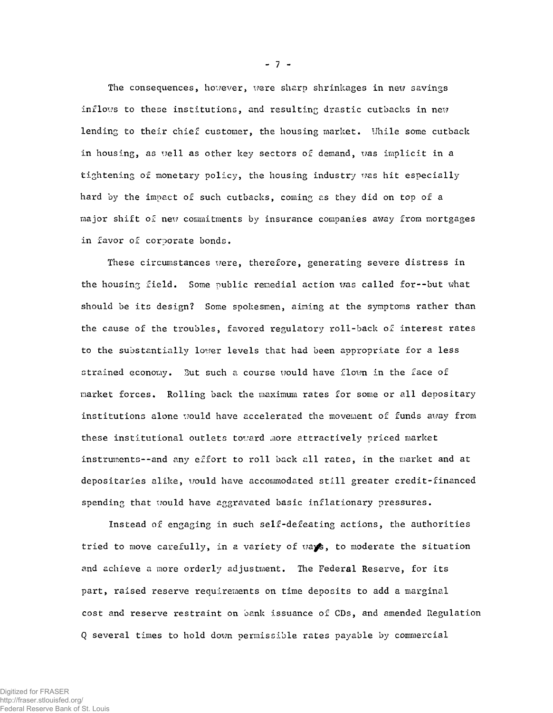The consequences, however, were sharp shrinkages in new savings inflows to these institutions, and resulting drastic cutbacks in new lending to their chief customer, the housing market. While some cutback in housing, as well as other key sectors of demand, was implicit in a tightening of monetary policy, the housing industry was hit especially hard by the impact of such cutbacks, coming as they did on top of a major shift of new commitments by insurance companies away from mortgages in favor of corporate bonds.

These circumstances were, therefore, generating severe distress in the housing field. Some public remedial action was called for--but what should be its design? Some spokesmen, aiming at the symptoms rather than the cause of the troubles, favored regulatory roll-back of interest rates to the substantially lower levels that had been appropriate for a less strained economy. But such a course would have flown in the face of market forces. Rolling back the maximum rates for some or all depositary institutions alone would have accelerated the movement of funds away from these institutional outlets toward more attractively priced market instruments--and any effort to roll back all rates, in the market and at depositaries alike, would have accommodated still greater credit-financed spending that would have aggravated basic inflationary pressures.

Instead of engaging in such self-defeating actions, the authorities tried to move carefully, in a variety of ways, to moderate the situation and achieve a more orderly adjustment. The Federal Reserve, for its part, raised reserve requirements on time deposits to add a marginal cost and reserve restraint on bank issuance of CDs, and amended Regulation Q several times to hold down permissible rates payable by commercial

 $-7 -$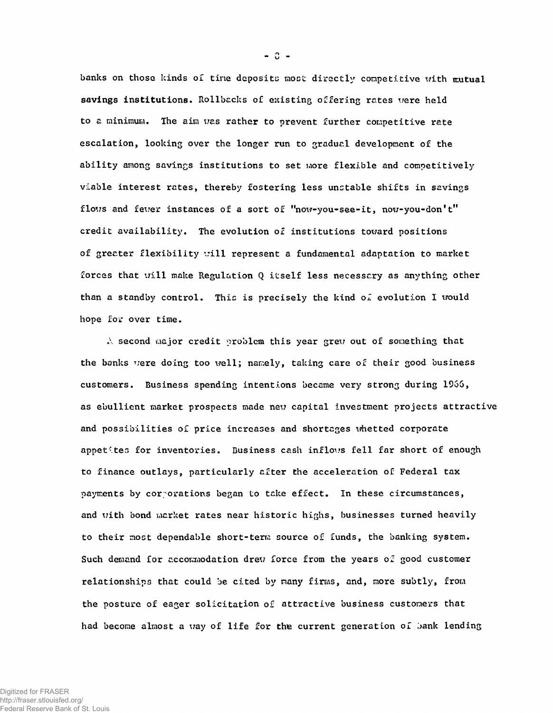**banks on those kinds o£ tine deposits most directly competitive with mutual** savings institutions. Rollbacks of existing offering rates were held **to a minimum. The aim was rather to prevent further competitive rate escalation, looking over the longer run to gradual development of the ability among savings institutions to set more flexible and competitively viable interest rates, thereby fostering less unstable shifts in savings flows and fever instances of a sort of "now-you-see-it, now-you-don't" credit availability. The evolution of institutions toward positions of greater flexibility '..'ill represent a fundamental adaptation to market forces that \iill make Regulation Q itself less necessary as anything other** than a standby control. This is precisely the kind of evolution I would **hope for over time.**

**A second major credit problem this year grew out of something that the banks were doing too well; namely, taking care of their good business customers. Business spending intentions became very strong during 1966, as ebullient market prospects made new capital investment projects attractive and possibilities of price increases and shortages whetted corporate appetites for inventories. Business cash inflows fell far short of enough to finance outlays, particularly after the acceleration of Federal tax payments by cor-orations began to take effect. In these circumstances, and with bond market rates near historic highs, businesses turned heavily to their most dependable short-term source of funds, the banking system. Such demand for accommodation drew force from the years of good customer relationships that could be cited by many firms, and, more subtly, from the posture of eager solicitation of attractive business customers that had become almost a way of life for the current generation of jank lending**

 $- 0 -$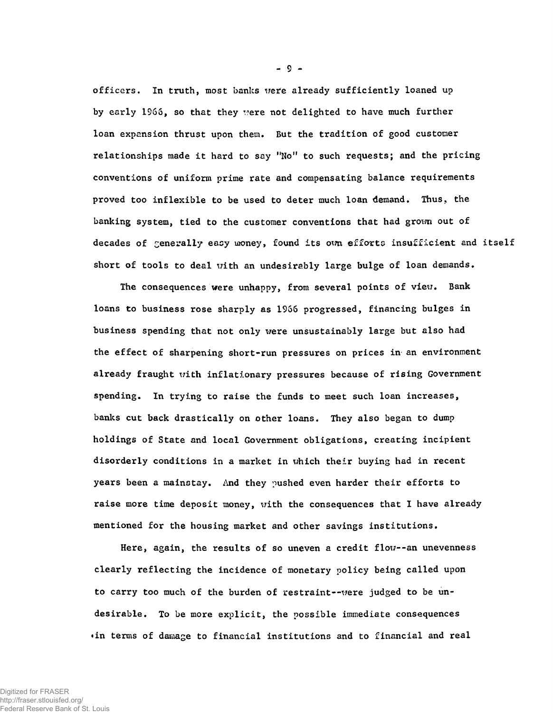**officers. In truth, most banks wefe already sufficiently loaned up by early 1S66, so that they were not delighted to have much further loan expansion thrust upon them. But the tradition of good customer relationships made it hard to say "No" to such requests; and the pricing conventions of uniform prime rate and compensating balance requirements proved too inflexible to be used to deter much loan demand. Thus, the banking system, tied to the customer conventions that had grown out of decades of generally easy money, found its own efforts insufficient and itself short of tools to deal with an undesirably large bulge of loan demands.**

**The consequences were unhappy, from several points of view. Bank loans to business rose sharply as 1966 progressed, financing bulges in business spending that not only were unsustainably large but also had the effect of sharpening short-run pressures on prices in an environment already fraught with inflationary pressures because of rising Government spending. In trying to raise the funds to meet such loan increases, banks cut back drastically on other loans. They also began to dump holdings of State and local Government obligations, creating incipient disorderly conditions in a market in which their buying had in recent years been a mainstay. And they pushed even harder their efforts to raise more time deposit money, with the consequences that I have already mentioned for the housing market and other savings institutions.**

**Here, again, the results of so uneven a credit flow--an unevenness clearly reflecting the incidence of monetary policy being called upon** to carry too much of the burden of restraint--were judged to be un**desirable. To be more explicit, the possible immediate consequences ♦in terms of damage to financial institutions and to financial and real**

-9-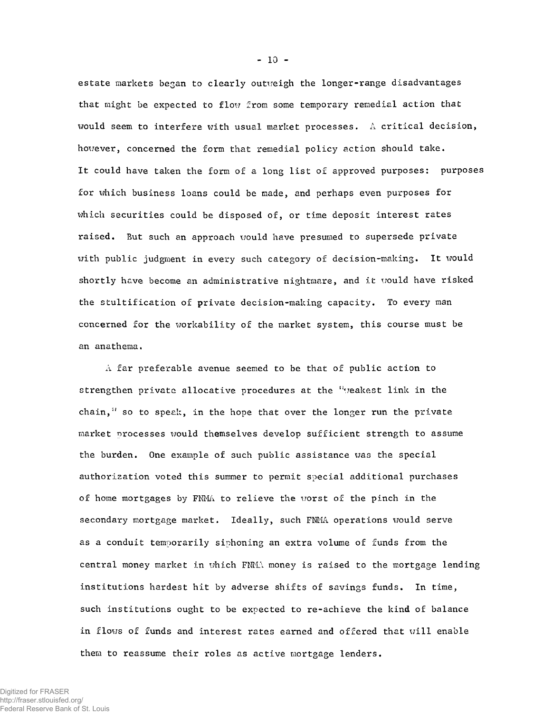estate markets began to clearly outweigh the longer-range disadvantages that might be expected to flow from some temporary remedial action that would seem to interfere with usual market processes. A critical decision, however, concerned the form that remedial policy action should take. It could have taken the form of a long list of approved purposes: purposes for which business loans could be made, and perhaps even purposes for which securities could be disposed of, or time deposit interest rates raised. But such an approach would have presumed to supersede private with public judgment in every such category of decision-making. It would shortly have become an administrative nightmare, and it would have risked the stultification of private decision-making capacity. To every man concerned for the workability of the market system, this course must be an anathema,

 $\Lambda$  far preferable avenue seemed to be that of public action to strengthen private allocative procedures at the "veakest link in the chain," so to speak, in the hope that over the longer run the private market processes would themselves develop sufficient strength to assume the burden. One example of such public assistance was the special authorization voted this summer to permit special additional purchases of home mortgages by FNMA to relieve the worst of the pinch in the secondary mortgage market. Ideally, such FNMA operations would serve as a conduit temporarily siphoning an extra volume of funds from the central money market in which FNMA money is raised to the mortgage lending institutions hardest hit by adverse shifts of savings funds. In time, such institutions ought to be expected to re-achieve the kind of balance in flows of funds and interest rates earned and offered that will enable them to reassume their roles as active mortgage lenders.

**-** 10 **-**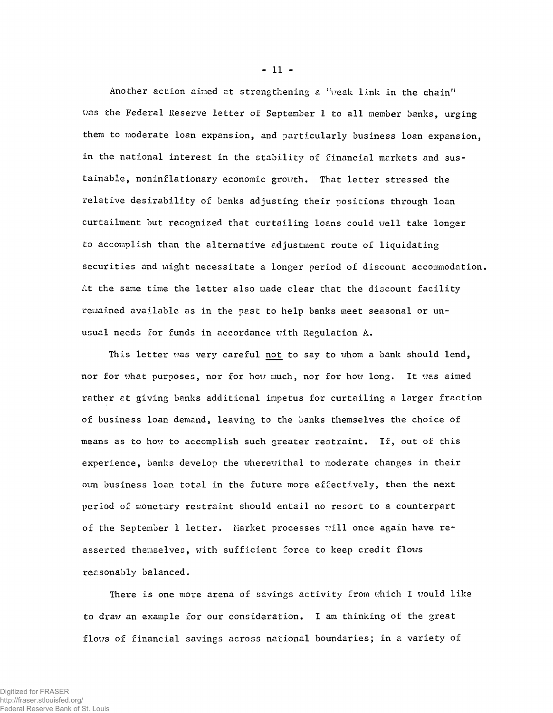Another action aimed at strengthening a "weak link in the chain" was the Federal Reserve letter of September 1 to all member banks, urging them to moderate loan expansion, and particularly business loan expansion, in the national interest in the stability of financial markets and sustainable, noninflationary economic growth. That letter stressed the relative desirability of banks adjusting their positions through loan curtailment but recognized that curtailing loans could well take longer to accomplish than the alternative adjustment route of liquidating securities and might necessitate a longer period of discount accommodation. At the same time the letter also made clear that the discount facility regained available as in the past to help banks meet seasonal or unusual needs for funds in accordance with Regulation A.

This letter was very careful not to say to whom a bank should lend, nor for what purposes, nor for how much, nor for how long. It was aimed rather at giving banks additional impetus for curtailing a larger fraction of business loan demand, leaving to the banks themselves the choice of means as to how to accomplish such greater restraint. If, out of this experience, banks develop the wherewithal to moderate changes in their own business loan total in the future more effectively, then the next period of monetary restraint should entail no resort to a counterpart of the September 1 letter. Market processes will once again have reasserted themselves, with sufficient force to keep credit flows reasonably balanced.

There is one more arena of savings activity from which I would like to draw an example for our consideration. I am thinking of the great flows of financial savings across national boundaries; in a variety of

**-** 11 **-**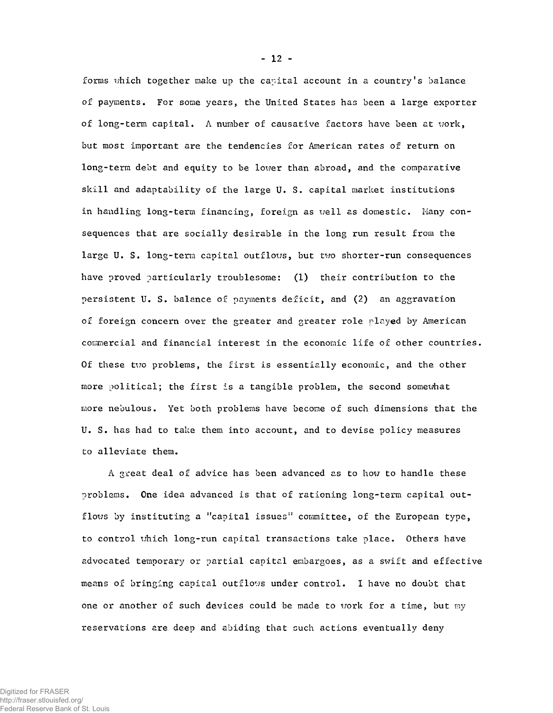forms which together make up the capital account in a country's balance of payments. For some years, the United States has been a large exporter of long-term capital. A number of causative factors have been at work, but most important are the tendencies for American rates of return on long-term debt and equity to be lower than abroad, and the comparative skill and adaptability of the large U. S. capital market institutions in handling long-term financing, foreign as well as domestic. Many consequences that are socially desirable in the long run result from the large U. S. long-term capital outflows, but two shorter-run consequences have proved particularly troublesome: (1) their contribution to the persistent U. S. balance of payments deficit, and (2) an aggravation of foreign concern over the greater and greater role played by American commercial and financial interest in the economic life of other countries. Of these two problems, the first is essentially economic, and the other more political; the first is a tangible problem, the second somewhat more nebulous. Yet both problems have become of such dimensions that the U. S. has had to take them into account, and to devise policy measures to alleviate them.

A great deal of advice has been advanced as to how to handle these problems. One idea advanced is that of rationing long-term capital outflows by instituting a "capital issues" committee, of the European type, to control which long-run capital transactions take place. Others have advocated temporary or partial capital embargoes, as a swift and effective means of bringing capital outflows under control. I have no doubt that one or another of such devices could be made to work for a time, but my reservations are deep and abiding that such actions eventually deny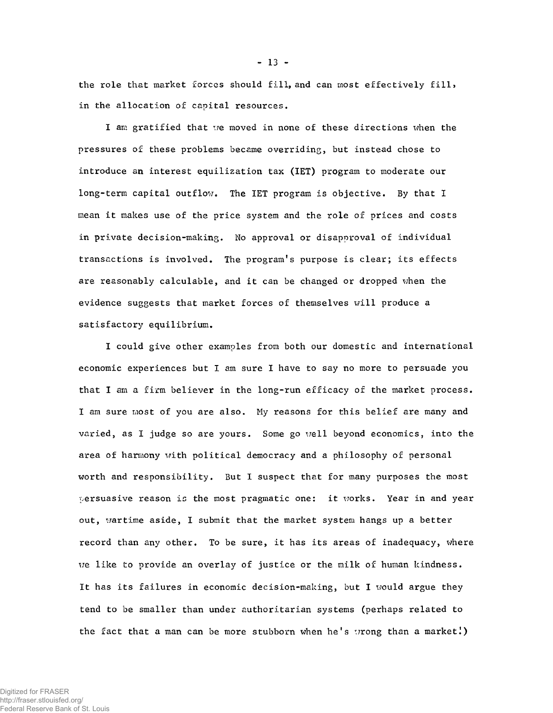the role that market forces should fill, and can most effectively fill, in the allocation of capital resources.

I am gratified that we moved in none of these directions when the pressures of these problems became overriding, but instead chose to introduce an interest equilization tax (IET) program to moderate our long-term capital outflow. The IET program is objective. By that I mean it makes use of the price system and the role of prices and costs in private decision-making. No approval or disapproval of individual transactions is involved. The program's purpose is clear; its effects are reasonably calculable, and it can be changed or dropped when the evidence suggests that market forces of themselves will produce a satisfactory equilibrium.

I could give other examples from both our domestic and international economic experiences but I am sure I have to say no more to persuade you that I am a firm believer in the long-run efficacy of the market process. I am sure most of you are also. My reasons for this belief are many and varied, as I judge so are yours. Some go well beyond economics, into the area of harmony with political democracy and a philosophy of personal worth and responsibility. But I suspect that for many purposes the most persuasive reason is the most pragmatic one: it works. Year in and year out, wartime aside, I submit that the market system hangs up a better record than any other. To be sure, it has its areas of inadequacy, where we like to provide an overlay of justice or the milk of human kindness. It has its failures in economic decision-making, but I would argue they tend to be smaller than under authoritarian systems (perhaps related to the fact that a man can be more stubborn when he's wrong than a market!)

**-** 13 **-**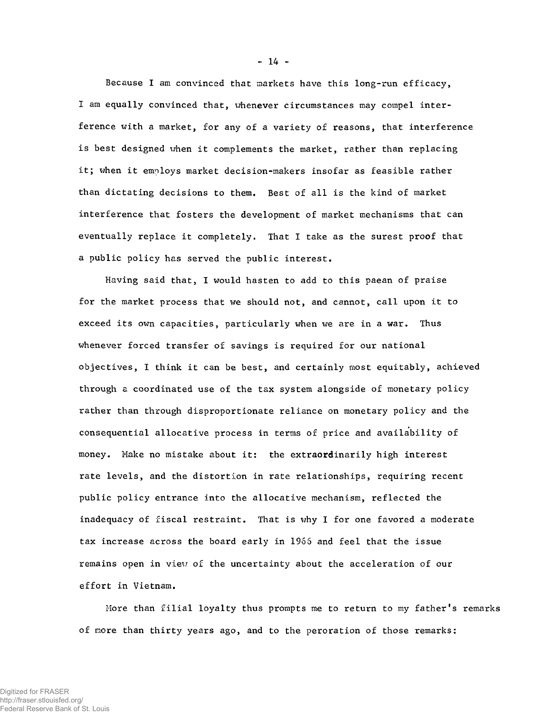Because I am convinced that markets have this long-run efficacy, I am equally convinced that, whenever circumstances may compel interference with a market, for any of a variety of reasons, that interference is best designed when it complements the market, rather than replacing it; when it employs market decision-makers insofar as feasible rather than dictating decisions to them. Best of all is the kind of market interference that fosters the development of market mechanisms that can eventually replace it completely. That I take as the surest proof that a public policy has served the public interest.

Having said that, I would hasten to add to this paean of praise for the market process that we should not, and cannot, call upon it to exceed its own capacities, particularly when we are in a war. Thus whenever forced transfer of savings is required for our national objectives, I think it can be best, and certainly most equitably, achieved through a coordinated use of the tax system alongside of monetary policy rather than through disproportionate reliance on monetary policy and the consequential allocative process in terms of price and availability of money. Make no mistake about it: the extraordinarily high interest rate levels, and the distortion in rate relationships, requiring recent public policy entrance into the allocative mechanism, reflected the inadequacy of fiscal restraint. That is why I for one favored a moderate tax increase across the board early in 1966 and feel that the issue remains open in view of the uncertainty about the acceleration of our effort in Vietnam.

More than filial loyalty thus prompts me to return to my father's remarks of more than thirty years ago, and to the peroration of those remarks: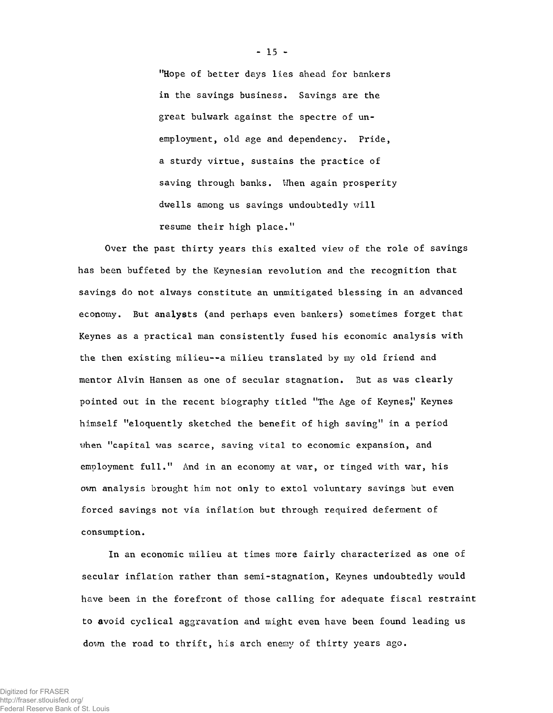"Hope of better days lies ahead for bankers in the savings business. Savings are the great bulwark against the spectre of unemployment, old age and dependency. Pride, a sturdy virtue, sustains the practice of saving through banks. When again prosperity dwells among us savings undoubtedly will resume their high place."

Over the past thirty years this exalted view of the role of savings has been buffeted by the Keynesian revolution and the recognition that savings do not always constitute an unmitigated blessing in an advanced economy. But analysts (and perhaps even bankers) sometimes forget that Keynes as a practical man consistently fused his economic analysis with the then existing milieu--a milieu translated by my old friend and mentor Alvin Hansen as one of secular stagnation. But as was clearly pointed out in the recent biography titled "The Age of Keynes" Keynes himself "eloquently sketched the benefit of high saving" in a period when "capital was scarce, saving vital to economic expansion, and employment full." And in an economy at war, or tinged with war, his own analysis brought him not only to extol voluntary savings but even forced savings not via inflation but through required deferment of consumption.

In an economic milieu at times more fairly characterized as one of secular inflation rather than semi-stagnation, Keynes undoubtedly would have been in the forefront of those calling for adequate fiscal restraint to avoid cyclical aggravation and might even have been found leading us down the road to thrift, his arch enemy of thirty years ago.